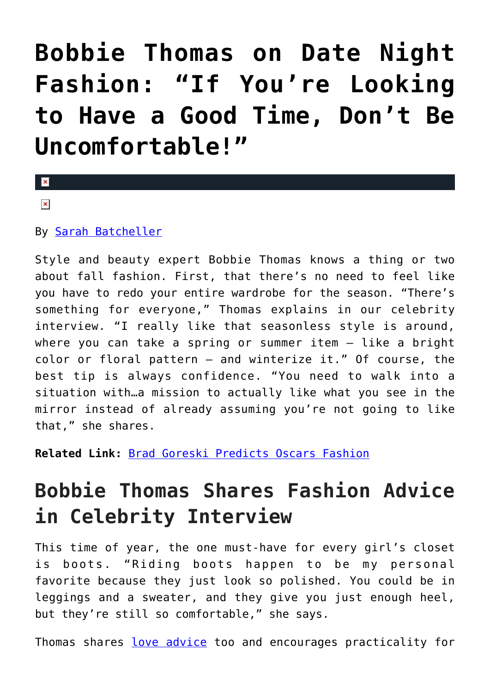## **[Bobbie Thomas on Date Night](https://cupidspulse.com/81675/bobbie-thomas-date-night-fall-fashion/) [Fashion: "If You're Looking](https://cupidspulse.com/81675/bobbie-thomas-date-night-fall-fashion/) [to Have a Good Time, Don't Be](https://cupidspulse.com/81675/bobbie-thomas-date-night-fall-fashion/) [Uncomfortable!"](https://cupidspulse.com/81675/bobbie-thomas-date-night-fall-fashion/)**

 $\mathbf{R}$  $\pmb{\times}$ 

By [Sarah Batcheller](http://cupidspulse.com/104594/sarah-batcheller/)

Style and beauty expert Bobbie Thomas knows a thing or two about fall fashion. First, that there's no need to feel like you have to redo your entire wardrobe for the season. "There's something for everyone," Thomas explains in our celebrity interview. "I really like that seasonless style is around, where you can take a spring or summer item — like a bright color or floral pattern — and winterize it." Of course, the best tip is always confidence. "You need to walk into a situation with…a mission to actually like what you see in the mirror instead of already assuming you're not going to like that," she shares.

**Related Link:** [Brad Goreski Predicts Oscars Fashion](http://cupidspulse.com/68542/brad-goreski-grammys-red-carpet-date-night-fashion/)

## **Bobbie Thomas Shares Fashion Advice in Celebrity Interview**

This time of year, the one must-have for every girl's closet is boots. "Riding boots happen to be my personal favorite because they just look so polished. You could be in leggings and a sweater, and they give you just enough heel, but they're still so comfortable," she says.

Thomas shares [love advice](http://cupidspulse.com/dating/date-ideas/) too and encourages practicality for